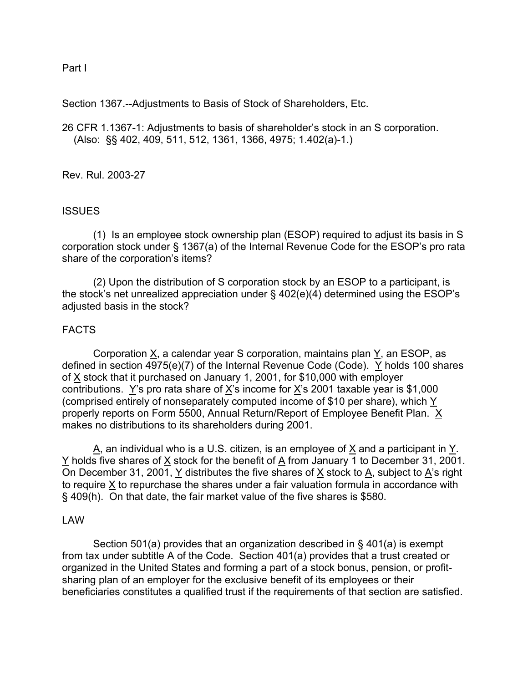Part I

Section 1367.--Adjustments to Basis of Stock of Shareholders, Etc.

26 CFR 1.1367-1: Adjustments to basis of shareholder's stock in an S corporation. (Also: §§ 402, 409, 511, 512, 1361, 1366, 4975; 1.402(a)-1.)

Rev. Rul. 2003-27

# **ISSUES**

 (1) Is an employee stock ownership plan (ESOP) required to adjust its basis in S corporation stock under § 1367(a) of the Internal Revenue Code for the ESOP's pro rata share of the corporation's items?

 (2) Upon the distribution of S corporation stock by an ESOP to a participant, is the stock's net unrealized appreciation under § 402(e)(4) determined using the ESOP's adjusted basis in the stock?

# FACTS

 Corporation X, a calendar year S corporation, maintains plan Y, an ESOP, as defined in section 4975(e)(7) of the Internal Revenue Code (Code). Y holds 100 shares of  $\times$  stock that it purchased on January 1, 2001, for \$10,000 with employer contributions. Y's pro rata share of X's income for X's 2001 taxable year is \$1,000 (comprised entirely of nonseparately computed income of \$10 per share), which  $Y$ properly reports on Form 5500, Annual Return/Report of Employee Benefit Plan. X makes no distributions to its shareholders during 2001.

 $\underline{A}$ , an individual who is a U.S. citizen, is an employee of  $\underline{X}$  and a participant in  $\underline{Y}$ . Y holds five shares of X stock for the benefit of A from January 1 to December 31, 2001. On December 31, 2001, Y distributes the five shares of  $\underline{X}$  stock to  $\underline{A}$ , subject to  $\underline{A}$ 's right to require X to repurchase the shares under a fair valuation formula in accordance with § 409(h). On that date, the fair market value of the five shares is \$580.

# LAW

 Section 501(a) provides that an organization described in § 401(a) is exempt from tax under subtitle A of the Code. Section 401(a) provides that a trust created or organized in the United States and forming a part of a stock bonus, pension, or profitsharing plan of an employer for the exclusive benefit of its employees or their beneficiaries constitutes a qualified trust if the requirements of that section are satisfied.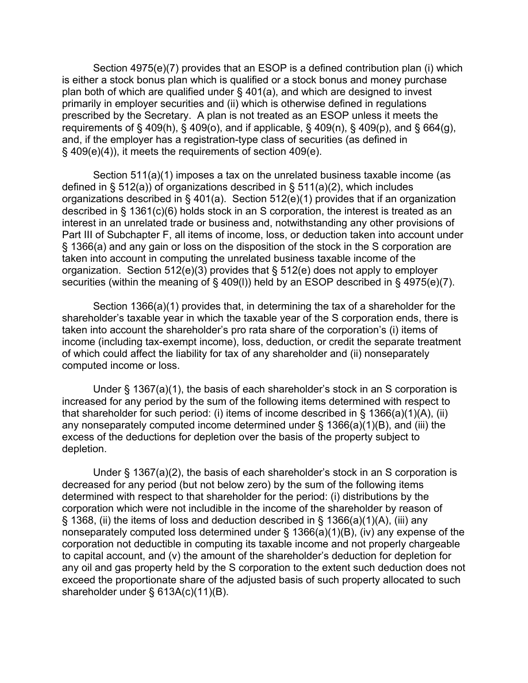Section 4975(e)(7) provides that an ESOP is a defined contribution plan (i) which is either a stock bonus plan which is qualified or a stock bonus and money purchase plan both of which are qualified under § 401(a), and which are designed to invest primarily in employer securities and (ii) which is otherwise defined in regulations prescribed by the Secretary. A plan is not treated as an ESOP unless it meets the requirements of § 409(h), § 409(o), and if applicable, § 409(n), § 409(p), and § 664(g), and, if the employer has a registration-type class of securities (as defined in § 409(e)(4)), it meets the requirements of section 409(e).

 Section 511(a)(1) imposes a tax on the unrelated business taxable income (as defined in § 512(a)) of organizations described in § 511(a)(2), which includes organizations described in § 401(a). Section 512(e)(1) provides that if an organization described in § 1361(c)(6) holds stock in an S corporation, the interest is treated as an interest in an unrelated trade or business and, notwithstanding any other provisions of Part III of Subchapter F, all items of income, loss, or deduction taken into account under § 1366(a) and any gain or loss on the disposition of the stock in the S corporation are taken into account in computing the unrelated business taxable income of the organization. Section 512(e)(3) provides that § 512(e) does not apply to employer securities (within the meaning of § 409(l)) held by an ESOP described in § 4975(e)(7).

 Section 1366(a)(1) provides that, in determining the tax of a shareholder for the shareholder's taxable year in which the taxable year of the S corporation ends, there is taken into account the shareholder's pro rata share of the corporation's (i) items of income (including tax-exempt income), loss, deduction, or credit the separate treatment of which could affect the liability for tax of any shareholder and (ii) nonseparately computed income or loss.

 Under § 1367(a)(1), the basis of each shareholder's stock in an S corporation is increased for any period by the sum of the following items determined with respect to that shareholder for such period: (i) items of income described in § 1366(a)(1)(A), (ii) any nonseparately computed income determined under  $\S$  1366(a)(1)(B), and (iii) the excess of the deductions for depletion over the basis of the property subject to depletion.

 Under § 1367(a)(2), the basis of each shareholder's stock in an S corporation is decreased for any period (but not below zero) by the sum of the following items determined with respect to that shareholder for the period: (i) distributions by the corporation which were not includible in the income of the shareholder by reason of § 1368, (ii) the items of loss and deduction described in § 1366(a)(1)(A), (iii) any nonseparately computed loss determined under § 1366(a)(1)(B), (iv) any expense of the corporation not deductible in computing its taxable income and not properly chargeable to capital account, and (v) the amount of the shareholder's deduction for depletion for any oil and gas property held by the S corporation to the extent such deduction does not exceed the proportionate share of the adjusted basis of such property allocated to such shareholder under § 613A(c)(11)(B).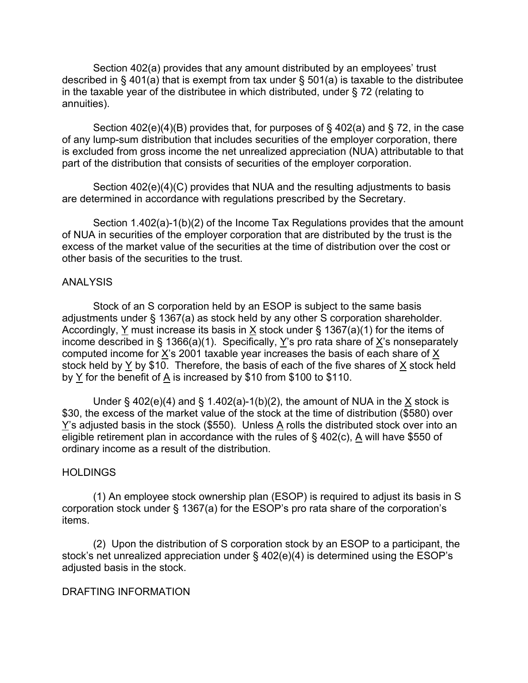Section 402(a) provides that any amount distributed by an employees' trust described in  $\S$  401(a) that is exempt from tax under  $\S$  501(a) is taxable to the distributee in the taxable year of the distributee in which distributed, under § 72 (relating to annuities).

 Section 402(e)(4)(B) provides that, for purposes of § 402(a) and § 72, in the case of any lump-sum distribution that includes securities of the employer corporation, there is excluded from gross income the net unrealized appreciation (NUA) attributable to that part of the distribution that consists of securities of the employer corporation.

 Section 402(e)(4)(C) provides that NUA and the resulting adjustments to basis are determined in accordance with regulations prescribed by the Secretary.

 Section 1.402(a)-1(b)(2) of the Income Tax Regulations provides that the amount of NUA in securities of the employer corporation that are distributed by the trust is the excess of the market value of the securities at the time of distribution over the cost or other basis of the securities to the trust.

# ANALYSIS

 Stock of an S corporation held by an ESOP is subject to the same basis adjustments under § 1367(a) as stock held by any other S corporation shareholder. Accordingly, Y must increase its basis in  $\underline{X}$  stock under § 1367(a)(1) for the items of income described in § 1366(a)(1). Specifically, Y's pro rata share of X's nonseparately computed income for X's 2001 taxable year increases the basis of each share of X stock held by Y by \$10. Therefore, the basis of each of the five shares of X stock held by  $Y$  for the benefit of  $\overline{A}$  is increased by \$10 from \$100 to \$110.

Under § 402(e)(4) and § 1.402(a)-1(b)(2), the amount of NUA in the  $X$  stock is \$30, the excess of the market value of the stock at the time of distribution (\$580) over Y's adjusted basis in the stock (\$550). Unless A rolls the distributed stock over into an eligible retirement plan in accordance with the rules of § 402(c), A will have \$550 of ordinary income as a result of the distribution.

# **HOLDINGS**

 (1) An employee stock ownership plan (ESOP) is required to adjust its basis in S corporation stock under § 1367(a) for the ESOP's pro rata share of the corporation's items.

 (2) Upon the distribution of S corporation stock by an ESOP to a participant, the stock's net unrealized appreciation under § 402(e)(4) is determined using the ESOP's adjusted basis in the stock.

# DRAFTING INFORMATION